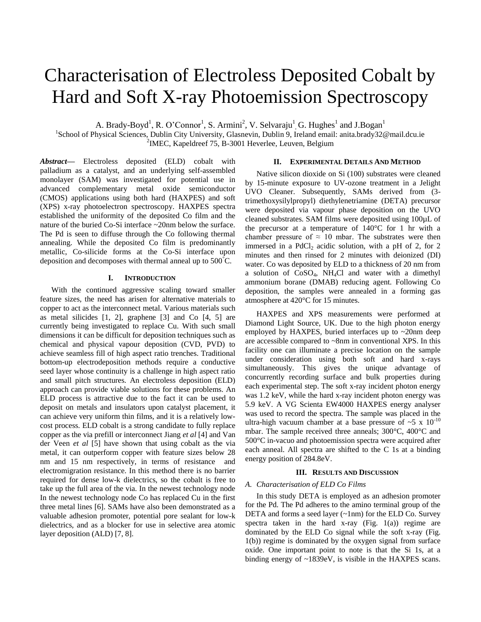# Characterisation of Electroless Deposited Cobalt by Hard and Soft X-ray Photoemission Spectroscopy

A. Brady-Boyd<sup>1</sup>, R. O'Connor<sup>1</sup>, S. Armini<sup>2</sup>, V. Selvaraju<sup>1</sup>, G. Hughes<sup>1</sup> and J.Bogan<sup>1</sup>

<sup>1</sup>School of Physical Sciences, Dublin City University, Glasnevin, Dublin 9, Ireland email: anita.brady32@mail.dcu.ie <sup>2</sup>IMEC, Kapeldreef 75, B-3001 Heverlee, Leuven, Belgium

*Abstract***—** Electroless deposited (ELD) cobalt with palladium as a catalyst, and an underlying self-assembled monolayer (SAM) was investigated for potential use in advanced complementary metal oxide semiconductor (CMOS) applications using both hard (HAXPES) and soft (XPS) x-ray photoelectron spectroscopy. HAXPES spectra established the uniformity of the deposited Co film and the nature of the buried Co-Si interface ~20nm below the surface. The Pd is seen to diffuse through the Co following thermal annealing. While the deposited Co film is predominantly metallic, Co-silicide forms at the Co-Si interface upon deposition and decomposes with thermal anneal up to 500°C.

# **I. INTRODUCTION**

With the continued aggressive scaling toward smaller feature sizes, the need has arisen for alternative materials to copper to act as the interconnect metal. Various materials such as metal silicides [1, 2], graphene [3] and Co [4, 5] are currently being investigated to replace Cu. With such small dimensions it can be difficult for deposition techniques such as chemical and physical vapour deposition (CVD, PVD) to achieve seamless fill of high aspect ratio trenches. Traditional bottom-up electrodeposition methods require a conductive seed layer whose continuity is a challenge in high aspect ratio and small pitch structures. An electroless deposition (ELD) approach can provide viable solutions for these problems. An ELD process is attractive due to the fact it can be used to deposit on metals and insulators upon catalyst placement, it can achieve very uniform thin films, and it is a relatively lowcost process. ELD cobalt is a strong candidate to fully replace copper as the via prefill or interconnect Jiang *et al* [4] and Van der Veen *et al* [5] have shown that using cobalt as the via metal, it can outperform copper with feature sizes below 28 nm and 15 nm respectively, in terms of resistance and electromigration resistance. In this method there is no barrier required for dense low-k dielectrics, so the cobalt is free to take up the full area of the via. In the newest technology node In the newest technology node Co has replaced Cu in the first three metal lines [6]. SAMs have also been demonstrated as a valuable adhesion promoter, potential pore sealant for low-k dielectrics, and as a blocker for use in selective area atomic layer deposition (ALD) [7, 8].

## **II. EXPERIMENTAL DETAILS AND METHOD**

Native silicon dioxide on Si (100) substrates were cleaned by 15-minute exposure to UV-ozone treatment in a Jelight UVO Cleaner. Subsequently, SAMs derived from (3 trimethoxysilylpropyl) diethylenetriamine (DETA) precursor were deposited via vapour phase deposition on the UVO cleaned substrates. SAM films were deposited using 100µL of the precursor at a temperature of 140°C for 1 hr with a chamber pressure of  $\approx$  10 mbar. The substrates were then immersed in a  $PdCl<sub>2</sub>$  acidic solution, with a pH of 2, for 2 minutes and then rinsed for 2 minutes with deionized (DI) water. Co was deposited by ELD to a thickness of 20 nm from a solution of  $CoSO<sub>4</sub>$ , NH<sub>4</sub>Cl and water with a dimethyl ammonium borane (DMAB) reducing agent. Following Co deposition, the samples were annealed in a forming gas atmosphere at 420°C for 15 minutes.

HAXPES and XPS measurements were performed at Diamond Light Source, UK. Due to the high photon energy employed by HAXPES, buried interfaces up to  $\sim$ 20nm deep are accessible compared to ~8nm in conventional XPS. In this facility one can illuminate a precise location on the sample under consideration using both soft and hard x-rays simultaneously. This gives the unique advantage of concurrently recording surface and bulk properties during each experimental step. The soft x-ray incident photon energy was 1.2 keV, while the hard x-ray incident photon energy was 5.9 keV. A VG Scienta EW4000 HAXPES energy analyser was used to record the spectra. The sample was placed in the ultra-high vacuum chamber at a base pressure of  $\sim$ 5 x 10<sup>-10</sup> mbar. The sample received three anneals; 300°C, 400°C and 500°C in-vacuo and photoemission spectra were acquired after each anneal. All spectra are shifted to the C 1s at a binding energy position of 284.8eV.

## **III. RESULTS AND DISCUSSION**

# *A. Characterisation of ELD Co Films*

In this study DETA is employed as an adhesion promoter for the Pd. The Pd adheres to the amino terminal group of the DETA and forms a seed layer (~1nm) for the ELD Co. Survey spectra taken in the hard x-ray (Fig.  $1(a)$ ) regime are dominated by the ELD Co signal while the soft x-ray (Fig. 1(b)) regime is dominated by the oxygen signal from surface oxide. One important point to note is that the Si 1s, at a binding energy of ~1839eV, is visible in the HAXPES scans.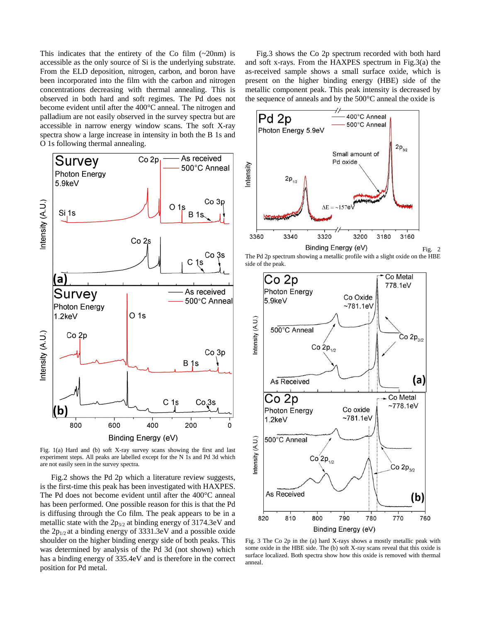This indicates that the entirety of the Co film  $(\sim 20$ nm) is accessible as the only source of Si is the underlying substrate. From the ELD deposition, nitrogen, carbon, and boron have been incorporated into the film with the carbon and nitrogen concentrations decreasing with thermal annealing. This is observed in both hard and soft regimes. The Pd does not become evident until after the 400°C anneal. The nitrogen and palladium are not easily observed in the survey spectra but are accessible in narrow energy window scans. The soft X-ray spectra show a large increase in intensity in both the B 1s and O 1s following thermal annealing.



Fig. 1(a) Hard and (b) soft X-ray survey scans showing the first and last experiment steps. All peaks are labelled except for the N 1s and Pd 3d which are not easily seen in the survey spectra.

Fig.2 shows the Pd 2p which a literature review suggests, is the first-time this peak has been investigated with HAXPES. The Pd does not become evident until after the 400°C anneal has been performed. One possible reason for this is that the Pd is diffusing through the Co film. The peak appears to be in a metallic state with the  $2p_{3/2}$  at binding energy of 3174.3eV and the  $2p_{1/2}$  at a binding energy of 3331.3eV and a possible oxide shoulder on the higher binding energy side of both peaks. This was determined by analysis of the Pd 3d (not shown) which has a binding energy of 335.4eV and is therefore in the correct position for Pd metal.

Fig.3 shows the Co 2p spectrum recorded with both hard and soft x-rays. From the HAXPES spectrum in Fig.3(a) the as-received sample shows a small surface oxide, which is present on the higher binding energy (HBE) side of the metallic component peak. This peak intensity is decreased by the sequence of anneals and by the 500°C anneal the oxide is



The Pd 2p spectrum showing a metallic profile with a slight oxide on the HBE side of the peak.



Fig. 3 The Co 2p in the (a) hard X-rays shows a mostly metallic peak with some oxide in the HBE side. The (b) soft X-ray scans reveal that this oxide is surface localized. Both spectra show how this oxide is removed with thermal anneal.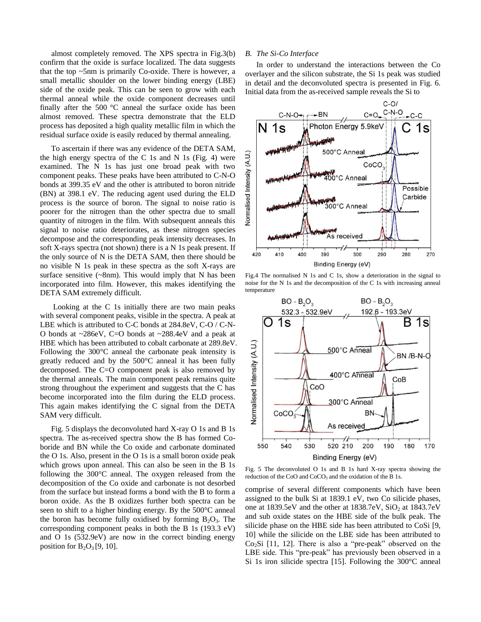almost completely removed. The XPS spectra in Fig.3(b) confirm that the oxide is surface localized. The data suggests that the top ~5nm is primarily Co-oxide. There is however, a small metallic shoulder on the lower binding energy (LBE) side of the oxide peak. This can be seen to grow with each thermal anneal while the oxide component decreases until finally after the 500 °C anneal the surface oxide has been almost removed. These spectra demonstrate that the ELD process has deposited a high quality metallic film in which the residual surface oxide is easily reduced by thermal annealing.

To ascertain if there was any evidence of the DETA SAM, the high energy spectra of the C 1s and N 1s (Fig. 4) were examined. The N 1s has just one broad peak with two component peaks. These peaks have been attributed to C-N-O bonds at 399.35 eV and the other is attributed to boron nitride (BN) at 398.1 eV. The reducing agent used during the ELD process is the source of boron. The signal to noise ratio is poorer for the nitrogen than the other spectra due to small quantity of nitrogen in the film. With subsequent anneals this signal to noise ratio deteriorates, as these nitrogen species decompose and the corresponding peak intensity decreases. In soft X-rays spectra (not shown) there is a N 1s peak present. If the only source of N is the DETA SAM, then there should be no visible N 1s peak in these spectra as the soft X-rays are surface sensitive  $(\sim 8$ nm). This would imply that N has been incorporated into film. However, this makes identifying the DETA SAM extremely difficult.

Looking at the C 1s initially there are two main peaks with several component peaks, visible in the spectra. A peak at LBE which is attributed to C-C bonds at 284.8eV, C-O / C-N-O bonds at ~286eV, C=O bonds at ~288.4eV and a peak at HBE which has been attributed to cobalt carbonate at 289.8eV. Following the 300°C anneal the carbonate peak intensity is greatly reduced and by the 500°C anneal it has been fully decomposed. The C=O component peak is also removed by the thermal anneals. The main component peak remains quite strong throughout the experiment and suggests that the C has become incorporated into the film during the ELD process. This again makes identifying the C signal from the DETA SAM very difficult.

Fig. 5 displays the deconvoluted hard X-ray O 1s and B 1s spectra. The as-received spectra show the B has formed Coboride and BN while the Co oxide and carbonate dominated the O 1s. Also, present in the O 1s is a small boron oxide peak which grows upon anneal. This can also be seen in the B 1s following the 300°C anneal. The oxygen released from the decomposition of the Co oxide and carbonate is not desorbed from the surface but instead forms a bond with the B to form a boron oxide. As the B oxidizes further both spectra can be seen to shift to a higher binding energy. By the 500°C anneal the boron has become fully oxidised by forming  $B_2O_3$ . The corresponding component peaks in both the B 1s (193.3 eV) and O 1s (532.9eV) are now in the correct binding energy position for  $B_2O_3[9, 10]$ .

## *B. The Si-Co Interface*

In order to understand the interactions between the Co overlayer and the silicon substrate, the Si 1s peak was studied in detail and the deconvoluted spectra is presented in Fig. 6. Initial data from the as-received sample reveals the Si to



Fig.4 The normalised N 1s and C 1s, show a deterioration in the signal to noise for the N 1s and the decomposition of the C 1s with increasing anneal temperature



Fig. 5 The deconvoluted O 1s and B 1s hard X-ray spectra showing the reduction of the CoO and  $CoCO<sub>3</sub>$  and the oxidation of the B 1s.

comprise of several different components which have been assigned to the bulk Si at 1839.1 eV, two Co silicide phases, one at 1839.5eV and the other at  $1838.7eV$ , SiO<sub>2</sub> at  $1843.7eV$ and sub oxide states on the HBE side of the bulk peak. The silicide phase on the HBE side has been attributed to CoSi [9, 10] while the silicide on the LBE side has been attributed to  $Co<sub>2</sub>Si$  [11, 12]. There is also a "pre-peak" observed on the LBE side. This "pre-peak" has previously been observed in a Si 1s iron silicide spectra [15]. Following the 300°C anneal